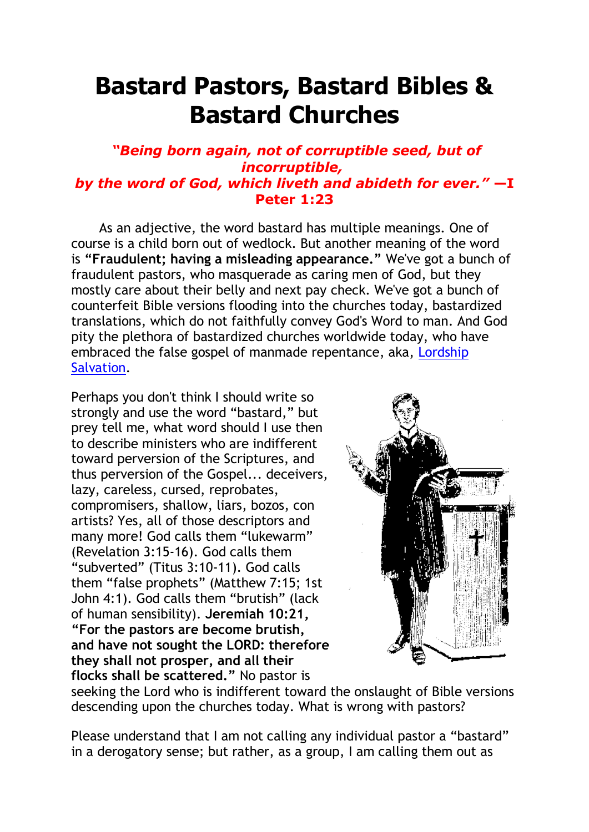# **Bastard Pastors, Bastard Bibles & Bastard Churches**

#### *"Being born again, not of corruptible seed, but of incorruptible, by the word of God, which liveth and abideth for ever."* **—I Peter 1:23**

 As an adjective, the word bastard has multiple meanings. One of course is a child born out of wedlock. But another meaning of the word is **"Fraudulent; having a misleading appearance."** We've got a bunch of fraudulent pastors, who masquerade as caring men of God, but they mostly care about their belly and next pay check. We've got a bunch of counterfeit Bible versions flooding into the churches today, bastardized translations, which do not faithfully convey God's Word to man. And God pity the plethora of bastardized churches worldwide today, who have embraced the false gospel of manmade repentance, aka, [Lordship](https://www.soulwinning.info/fd/lordship_salvation/lordship.htm)  [Salvation.](https://www.soulwinning.info/fd/lordship_salvation/lordship.htm)

Perhaps you don't think I should write so strongly and use the word "bastard," but prey tell me, what word should I use then to describe ministers who are indifferent toward perversion of the Scriptures, and thus perversion of the Gospel... deceivers, lazy, careless, cursed, reprobates, compromisers, shallow, liars, bozos, con artists? Yes, all of those descriptors and many more! God calls them "lukewarm" (Revelation 3:15-16). God calls them "subverted" (Titus 3:10-11). God calls them "false prophets" (Matthew 7:15; 1st John 4:1). God calls them "brutish" (lack of human sensibility). **Jeremiah 10:21, "For the pastors are become brutish, and have not sought the LORD: therefore they shall not prosper, and all their flocks shall be scattered."** No pastor is



seeking the Lord who is indifferent toward the onslaught of Bible versions descending upon the churches today. What is wrong with pastors?

Please understand that I am not calling any individual pastor a "bastard" in a derogatory sense; but rather, as a group, I am calling them out as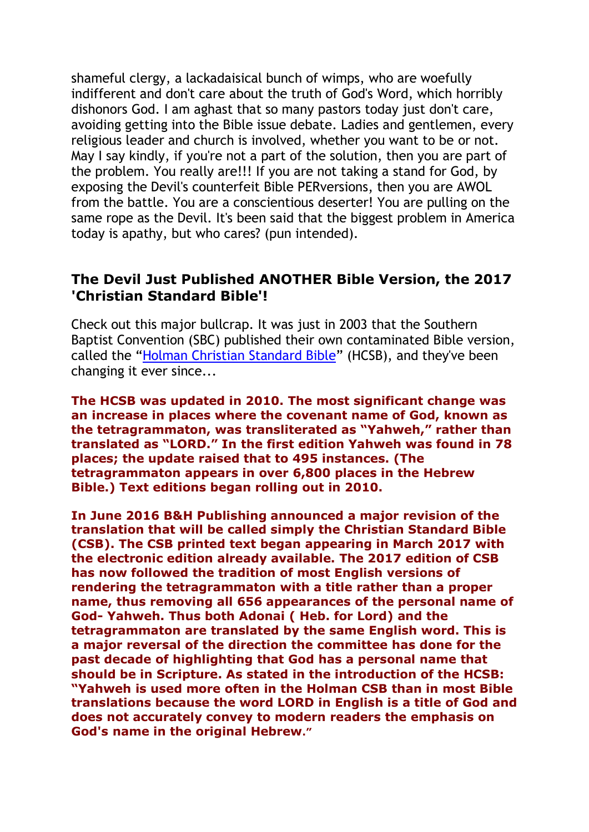shameful clergy, a lackadaisical bunch of wimps, who are woefully indifferent and don't care about the truth of God's Word, which horribly dishonors God. I am aghast that so many pastors today just don't care, avoiding getting into the Bible issue debate. Ladies and gentlemen, every religious leader and church is involved, whether you want to be or not. May I say kindly, if you're not a part of the solution, then you are part of the problem. You really are!!! If you are not taking a stand for God, by exposing the Devil's counterfeit Bible PERversions, then you are AWOL from the battle. You are a conscientious deserter! You are pulling on the same rope as the Devil. It's been said that the biggest problem in America today is apathy, but who cares? (pun intended).

#### **The Devil Just Published ANOTHER Bible Version, the 2017 'Christian Standard Bible'!**

Check out this major bullcrap. It was just in 2003 that the Southern Baptist Convention (SBC) published their own contaminated Bible version, called the "[Holman Christian Standard Bible](http://www.jesus-is-savior.com/Bible/hcsb.htm)" (HCSB), and they've been changing it ever since...

**The HCSB was updated in 2010. The most significant change was an increase in places where the covenant name of God, known as the tetragrammaton, was transliterated as "Yahweh," rather than translated as "LORD." In the first edition Yahweh was found in 78 places; the update raised that to 495 instances. (The tetragrammaton appears in over 6,800 places in the Hebrew Bible.) Text editions began rolling out in 2010.**

**In June 2016 B&H Publishing announced a major revision of the translation that will be called simply the Christian Standard Bible (CSB). The CSB printed text began appearing in March 2017 with the electronic edition already available. The 2017 edition of CSB has now followed the tradition of most English versions of rendering the tetragrammaton with a title rather than a proper name, thus removing all 656 appearances of the personal name of God- Yahweh. Thus both Adonai ( Heb. for Lord) and the tetragrammaton are translated by the same English word. This is a major reversal of the direction the committee has done for the past decade of highlighting that God has a personal name that should be in Scripture. As stated in the introduction of the HCSB: "Yahweh is used more often in the Holman CSB than in most Bible translations because the word LORD in English is a title of God and does not accurately convey to modern readers the emphasis on God's name in the original Hebrew."**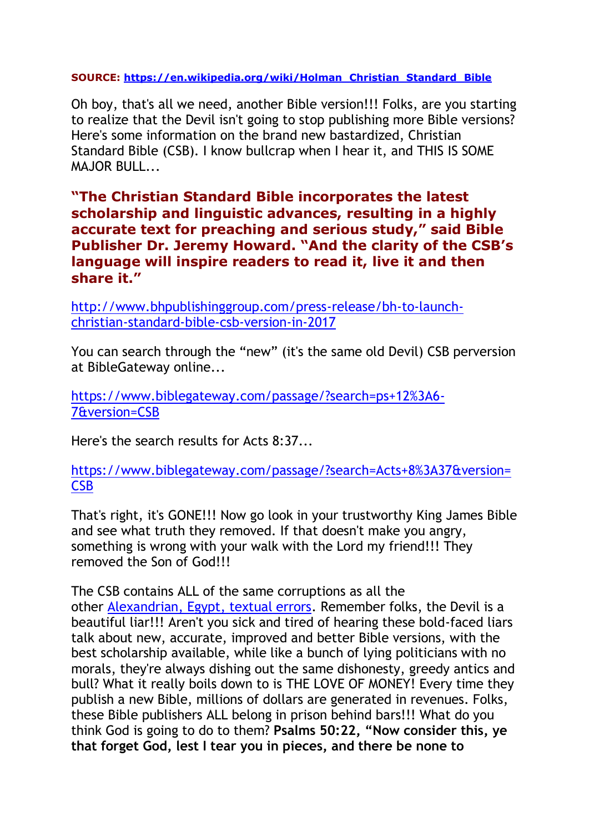#### **SOURCE: [https://en.wikipedia.org/wiki/Holman\\_Christian\\_Standard\\_Bible](https://en.wikipedia.org/wiki/Holman_Christian_Standard_Bible)**

Oh boy, that's all we need, another Bible version!!! Folks, are you starting to realize that the Devil isn't going to stop publishing more Bible versions? Here's some information on the brand new bastardized, Christian Standard Bible (CSB). I know bullcrap when I hear it, and THIS IS SOME MAJOR BULL...

**"The Christian Standard Bible incorporates the latest scholarship and linguistic advances, resulting in a highly accurate text for preaching and serious study," said Bible Publisher Dr. Jeremy Howard. "And the clarity of the CSB's language will inspire readers to read it, live it and then share it."**

[http://www.bhpublishinggroup.com/press-release/bh-to-launch](http://www.bhpublishinggroup.com/press-release/bh-to-launch-christian-standard-bible-csb-version-in-2017)[christian-standard-bible-csb-version-in-2017](http://www.bhpublishinggroup.com/press-release/bh-to-launch-christian-standard-bible-csb-version-in-2017)

You can search through the "new" (it's the same old Devil) CSB perversion at BibleGateway online...

[https://www.biblegateway.com/passage/?search=ps+12%3A6-](https://www.biblegateway.com/passage/?search=ps+12%3A6-7&version=CSB) [7&version=CSB](https://www.biblegateway.com/passage/?search=ps+12%3A6-7&version=CSB)

Here's the search results for Acts 8:37...

[https://www.biblegateway.com/passage/?search=Acts+8%3A37&version=](https://www.biblegateway.com/passage/?search=Acts+8%3A37&version=CSB) [CSB](https://www.biblegateway.com/passage/?search=Acts+8%3A37&version=CSB)

That's right, it's GONE!!! Now go look in your trustworthy King James Bible and see what truth they removed. If that doesn't make you angry, something is wrong with your walk with the Lord my friend!!! They removed the Son of God!!!

The CSB contains ALL of the same corruptions as all the other [Alexandrian, Egypt, textual errors.](http://www.jesusisprecious.org/bible/beware_alexandrian_revisions.htm) Remember folks, the Devil is a beautiful liar!!! Aren't you sick and tired of hearing these bold-faced liars talk about new, accurate, improved and better Bible versions, with the best scholarship available, while like a bunch of lying politicians with no morals, they're always dishing out the same dishonesty, greedy antics and bull? What it really boils down to is THE LOVE OF MONEY! Every time they publish a new Bible, millions of dollars are generated in revenues. Folks, these Bible publishers ALL belong in prison behind bars!!! What do you think God is going to do to them? **Psalms 50:22, "Now consider this, ye that forget God, lest I tear you in pieces, and there be none to**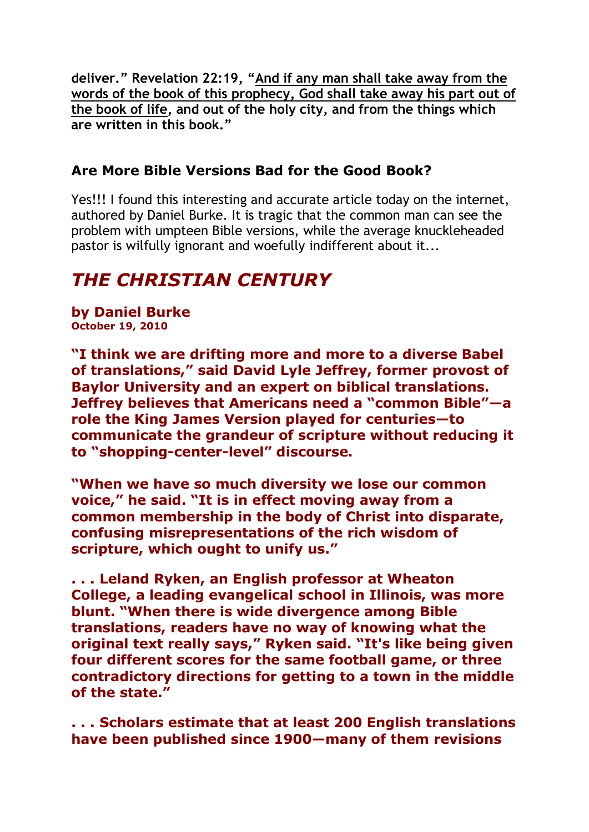**deliver." Revelation 22:19, "And if any man shall take away from the words of the book of this prophecy, God shall take away his part out of the book of life, and out of the holy city, and from the things which are written in this book."**

#### **Are More Bible Versions Bad for the Good Book?**

Yes!!! I found this interesting and accurate article today on the internet, authored by Daniel Burke. It is tragic that the common man can see the problem with umpteen Bible versions, while the average knuckleheaded pastor is wilfully ignorant and woefully indifferent about it...

### *THE CHRISTIAN CENTURY*

**by Daniel Burke October 19, 2010**

**"I think we are drifting more and more to a diverse Babel of translations," said David Lyle Jeffrey, former provost of Baylor University and an expert on biblical translations. Jeffrey believes that Americans need a "common Bible"—a role the King James Version played for centuries—to communicate the grandeur of scripture without reducing it to "shopping-center-level" discourse.**

**"When we have so much diversity we lose our common voice," he said. "It is in effect moving away from a common membership in the body of Christ into disparate, confusing misrepresentations of the rich wisdom of scripture, which ought to unify us."**

**. . . Leland Ryken, an English professor at Wheaton College, a leading evangelical school in Illinois, was more blunt. "When there is wide divergence among Bible translations, readers have no way of knowing what the original text really says," Ryken said. "It's like being given four different scores for the same football game, or three contradictory directions for getting to a town in the middle of the state."**

**. . . Scholars estimate that at least 200 English translations have been published since 1900—many of them revisions**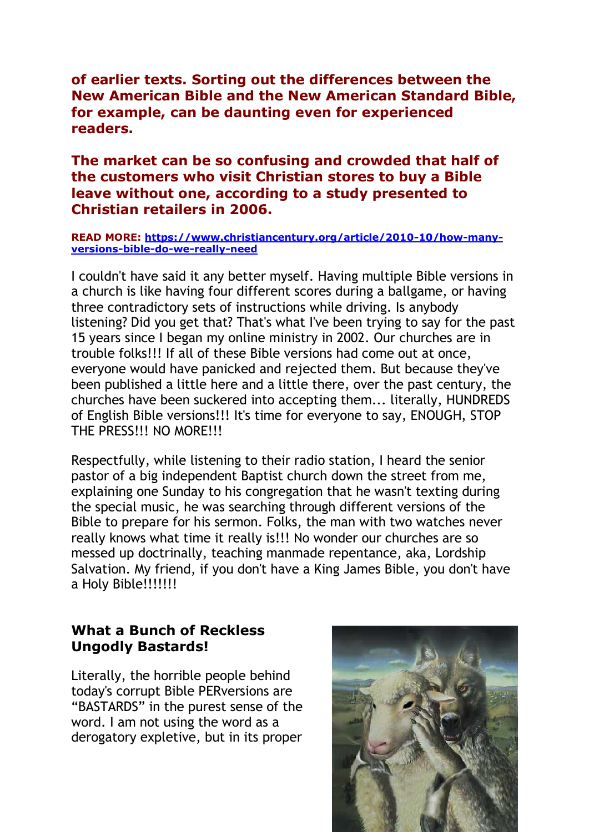**of earlier texts. Sorting out the differences between the New American Bible and the New American Standard Bible, for example, can be daunting even for experienced readers.**

#### **The market can be so confusing and crowded that half of the customers who visit Christian stores to buy a Bible leave without one, according to a study presented to Christian retailers in 2006.**

**READ MORE: [https://www.christiancentury.org/article/2010-10/how-many](https://www.christiancentury.org/article/2010-10/how-many-versions-bible-do-we-really-need)[versions-bible-do-we-really-need](https://www.christiancentury.org/article/2010-10/how-many-versions-bible-do-we-really-need)**

I couldn't have said it any better myself. Having multiple Bible versions in a church is like having four different scores during a ballgame, or having three contradictory sets of instructions while driving. Is anybody listening? Did you get that? That's what I've been trying to say for the past 15 years since I began my online ministry in 2002. Our churches are in trouble folks!!! If all of these Bible versions had come out at once, everyone would have panicked and rejected them. But because they've been published a little here and a little there, over the past century, the churches have been suckered into accepting them... literally, HUNDREDS of English Bible versions!!! It's time for everyone to say, ENOUGH, STOP THE PRESS!!! NO MORE!!!

Respectfully, while listening to their radio station, I heard the senior pastor of a big independent Baptist church down the street from me, explaining one Sunday to his congregation that he wasn't texting during the special music, he was searching through different versions of the Bible to prepare for his sermon. Folks, the man with two watches never really knows what time it really is!!! No wonder our churches are so messed up doctrinally, teaching manmade repentance, aka, Lordship Salvation. My friend, if you don't have a King James Bible, you don't have a Holy Bible!!!!!!!!

#### **What a Bunch of Reckless Ungodly Bastards!**

Literally, the horrible people behind today's corrupt Bible PERversions are "BASTARDS" in the purest sense of the word. I am not using the word as a derogatory expletive, but in its proper

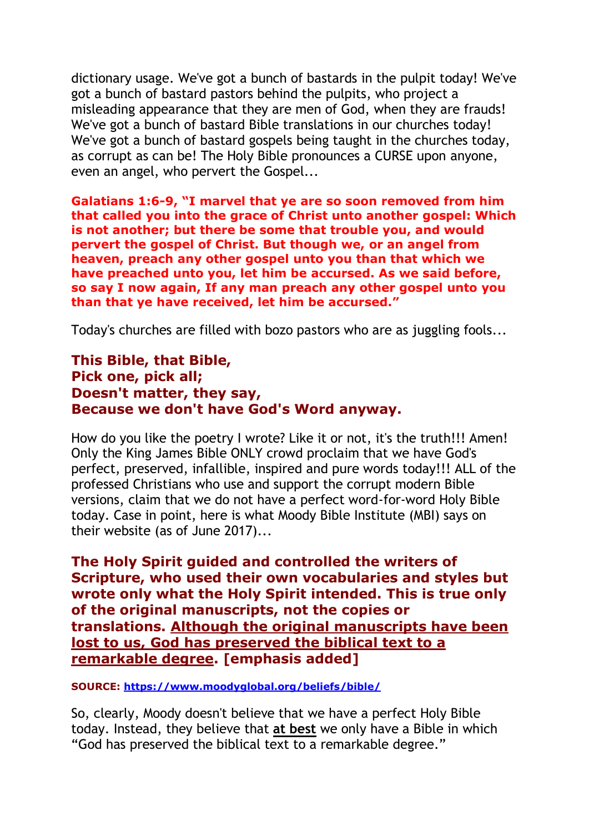dictionary usage. We've got a bunch of bastards in the pulpit today! We've got a bunch of bastard pastors behind the pulpits, who project a misleading appearance that they are men of God, when they are frauds! We've got a bunch of bastard Bible translations in our churches today! We've got a bunch of bastard gospels being taught in the churches today, as corrupt as can be! The Holy Bible pronounces a CURSE upon anyone, even an angel, who pervert the Gospel...

**Galatians 1:6-9, "I marvel that ye are so soon removed from him that called you into the grace of Christ unto another gospel: Which is not another; but there be some that trouble you, and would pervert the gospel of Christ. But though we, or an angel from heaven, preach any other gospel unto you than that which we have preached unto you, let him be accursed. As we said before, so say I now again, If any man preach any other gospel unto you than that ye have received, let him be accursed."**

Today's churches are filled with bozo pastors who are as juggling fools...

**This Bible, that Bible, Pick one, pick all; Doesn't matter, they say, Because we don't have God's Word anyway.**

How do you like the poetry I wrote? Like it or not, it's the truth!!! Amen! Only the King James Bible ONLY crowd proclaim that we have God's perfect, preserved, infallible, inspired and pure words today!!! ALL of the professed Christians who use and support the corrupt modern Bible versions, claim that we do not have a perfect word-for-word Holy Bible today. Case in point, here is what Moody Bible Institute (MBI) says on their website (as of June 2017)...

**The Holy Spirit guided and controlled the writers of Scripture, who used their own vocabularies and styles but wrote only what the Holy Spirit intended. This is true only of the original manuscripts, not the copies or translations. Although the original manuscripts have been lost to us, God has preserved the biblical text to a remarkable degree. [emphasis added]**

**SOURCE: <https://www.moodyglobal.org/beliefs/bible/>**

So, clearly, Moody doesn't believe that we have a perfect Holy Bible today. Instead, they believe that **at best** we only have a Bible in which "God has preserved the biblical text to a remarkable degree."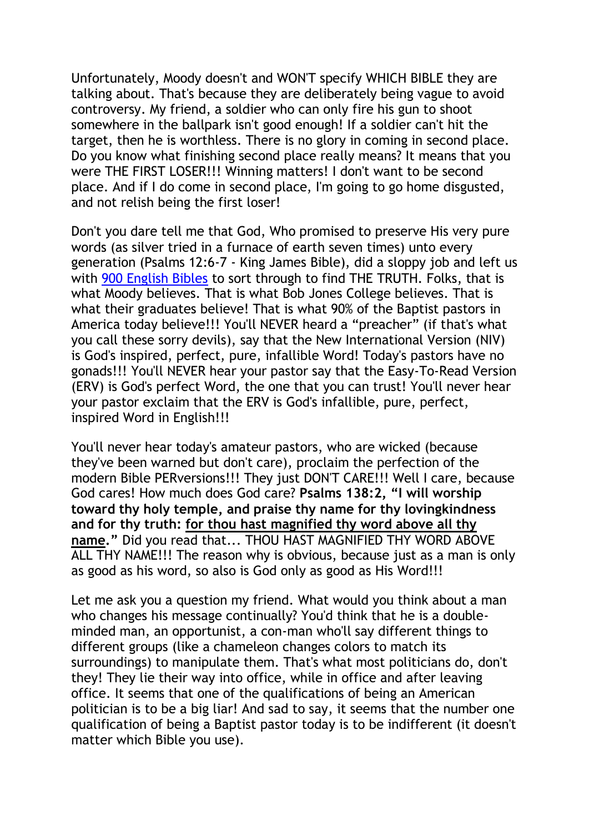Unfortunately, Moody doesn't and WON'T specify WHICH BIBLE they are talking about. That's because they are deliberately being vague to avoid controversy. My friend, a soldier who can only fire his gun to shoot somewhere in the ballpark isn't good enough! If a soldier can't hit the target, then he is worthless. There is no glory in coming in second place. Do you know what finishing second place really means? It means that you were THE FIRST LOSER!!! Winning matters! I don't want to be second place. And if I do come in second place, I'm going to go home disgusted, and not relish being the first loser!

Don't you dare tell me that God, Who promised to preserve His very pure words (as silver tried in a furnace of earth seven times) unto every generation (Psalms 12:6-7 - King James Bible), did a sloppy job and left us with [900 English Bibles](http://www.jesusisprecious.org/bible/confusion.htm) to sort through to find THE TRUTH. Folks, that is what Moody believes. That is what Bob Jones College believes. That is what their graduates believe! That is what 90% of the Baptist pastors in America today believe!!! You'll NEVER heard a "preacher" (if that's what you call these sorry devils), say that the New International Version (NIV) is God's inspired, perfect, pure, infallible Word! Today's pastors have no gonads!!! You'll NEVER hear your pastor say that the Easy-To-Read Version (ERV) is God's perfect Word, the one that you can trust! You'll never hear your pastor exclaim that the ERV is God's infallible, pure, perfect, inspired Word in English!!!

You'll never hear today's amateur pastors, who are wicked (because they've been warned but don't care), proclaim the perfection of the modern Bible PERversions!!! They just DON'T CARE!!! Well I care, because God cares! How much does God care? **Psalms 138:2, "I will worship toward thy holy temple, and praise thy name for thy lovingkindness and for thy truth: for thou hast magnified thy word above all thy name."** Did you read that... THOU HAST MAGNIFIED THY WORD ABOVE ALL THY NAME!!! The reason why is obvious, because just as a man is only as good as his word, so also is God only as good as His Word!!!

Let me ask you a question my friend. What would you think about a man who changes his message continually? You'd think that he is a doubleminded man, an opportunist, a con-man who'll say different things to different groups (like a chameleon changes colors to match its surroundings) to manipulate them. That's what most politicians do, don't they! They lie their way into office, while in office and after leaving office. It seems that one of the qualifications of being an American politician is to be a big liar! And sad to say, it seems that the number one qualification of being a Baptist pastor today is to be indifferent (it doesn't matter which Bible you use).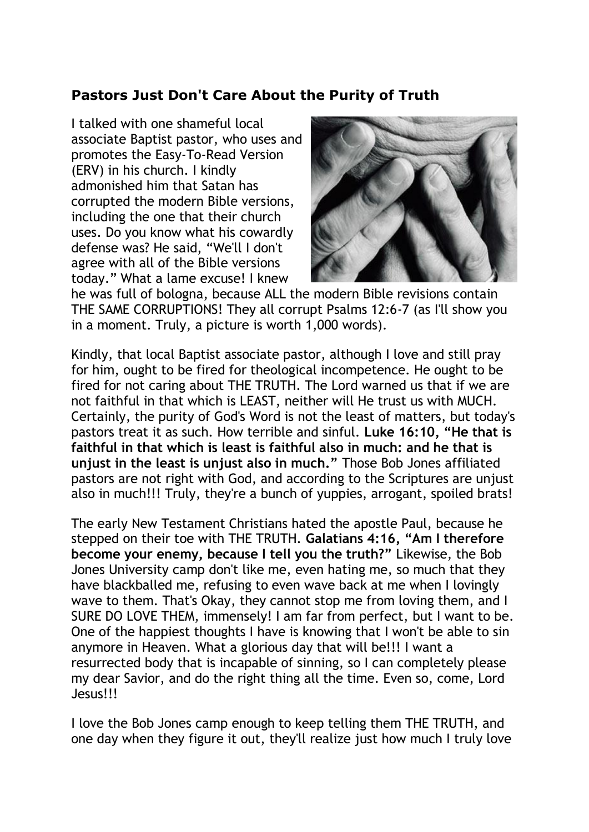#### **Pastors Just Don't Care About the Purity of Truth**

I talked with one shameful local associate Baptist pastor, who uses and promotes the Easy-To-Read Version (ERV) in his church. I kindly admonished him that Satan has corrupted the modern Bible versions, including the one that their church uses. Do you know what his cowardly defense was? He said, "We'll I don't agree with all of the Bible versions today." What a lame excuse! I knew



he was full of bologna, because ALL the modern Bible revisions contain THE SAME CORRUPTIONS! They all corrupt Psalms 12:6-7 (as I'll show you in a moment. Truly, a picture is worth 1,000 words).

Kindly, that local Baptist associate pastor, although I love and still pray for him, ought to be fired for theological incompetence. He ought to be fired for not caring about THE TRUTH. The Lord warned us that if we are not faithful in that which is LEAST, neither will He trust us with MUCH. Certainly, the purity of God's Word is not the least of matters, but today's pastors treat it as such. How terrible and sinful. **Luke 16:10, "He that is faithful in that which is least is faithful also in much: and he that is unjust in the least is unjust also in much."** Those Bob Jones affiliated pastors are not right with God, and according to the Scriptures are unjust also in much!!! Truly, they're a bunch of yuppies, arrogant, spoiled brats!

The early New Testament Christians hated the apostle Paul, because he stepped on their toe with THE TRUTH. **Galatians 4:16, "Am I therefore become your enemy, because I tell you the truth?"** Likewise, the Bob Jones University camp don't like me, even hating me, so much that they have blackballed me, refusing to even wave back at me when I lovingly wave to them. That's Okay, they cannot stop me from loving them, and I SURE DO LOVE THEM, immensely! I am far from perfect, but I want to be. One of the happiest thoughts I have is knowing that I won't be able to sin anymore in Heaven. What a glorious day that will be!!! I want a resurrected body that is incapable of sinning, so I can completely please my dear Savior, and do the right thing all the time. Even so, come, Lord Jesus!!!

I love the Bob Jones camp enough to keep telling them THE TRUTH, and one day when they figure it out, they'll realize just how much I truly love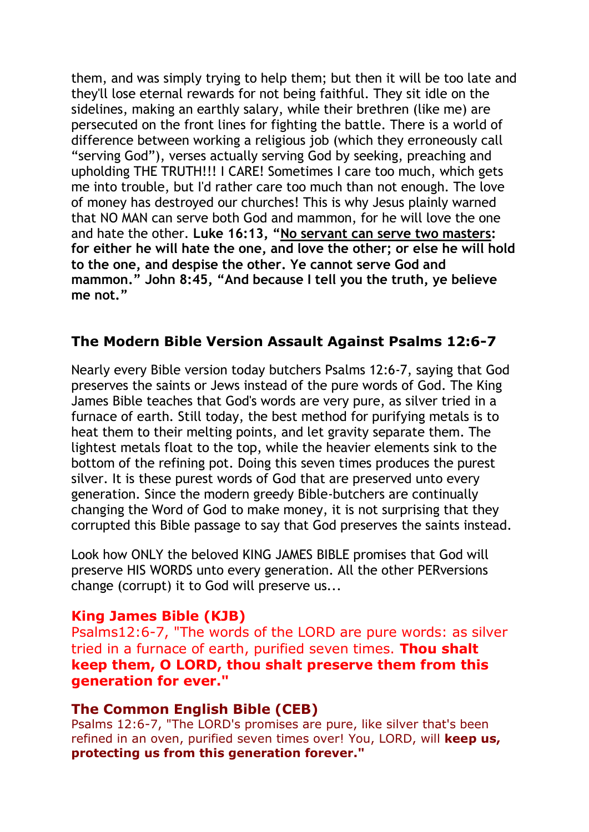them, and was simply trying to help them; but then it will be too late and they'll lose eternal rewards for not being faithful. They sit idle on the sidelines, making an earthly salary, while their brethren (like me) are persecuted on the front lines for fighting the battle. There is a world of difference between working a religious job (which they erroneously call "serving God"), verses actually serving God by seeking, preaching and upholding THE TRUTH!!! I CARE! Sometimes I care too much, which gets me into trouble, but I'd rather care too much than not enough. The love of money has destroyed our churches! This is why Jesus plainly warned that NO MAN can serve both God and mammon, for he will love the one and hate the other. **Luke 16:13, "No servant can serve two masters: for either he will hate the one, and love the other; or else he will hold to the one, and despise the other. Ye cannot serve God and mammon." John 8:45, "And because I tell you the truth, ye believe me not."**

#### **The Modern Bible Version Assault Against Psalms 12:6-7**

Nearly every Bible version today butchers Psalms 12:6-7, saying that God preserves the saints or Jews instead of the pure words of God. The King James Bible teaches that God's words are very pure, as silver tried in a furnace of earth. Still today, the best method for purifying metals is to heat them to their melting points, and let gravity separate them. The lightest metals float to the top, while the heavier elements sink to the bottom of the refining pot. Doing this seven times produces the purest silver. It is these purest words of God that are preserved unto every generation. Since the modern greedy Bible-butchers are continually changing the Word of God to make money, it is not surprising that they corrupted this Bible passage to say that God preserves the saints instead.

Look how ONLY the beloved KING JAMES BIBLE promises that God will preserve HIS WORDS unto every generation. All the other PERversions change (corrupt) it to God will preserve us...

#### **King James Bible (KJB)**

Psalms12:6-7, "The words of the LORD are pure words: as silver tried in a furnace of earth, purified seven times. **Thou shalt keep them, O LORD, thou shalt preserve them from this generation for ever."**

#### **The Common English Bible (CEB)**

Psalms 12:6-7, "The LORD's promises are pure, like silver that's been refined in an oven, purified seven times over! You, LORD, will **keep us, protecting us from this generation forever."**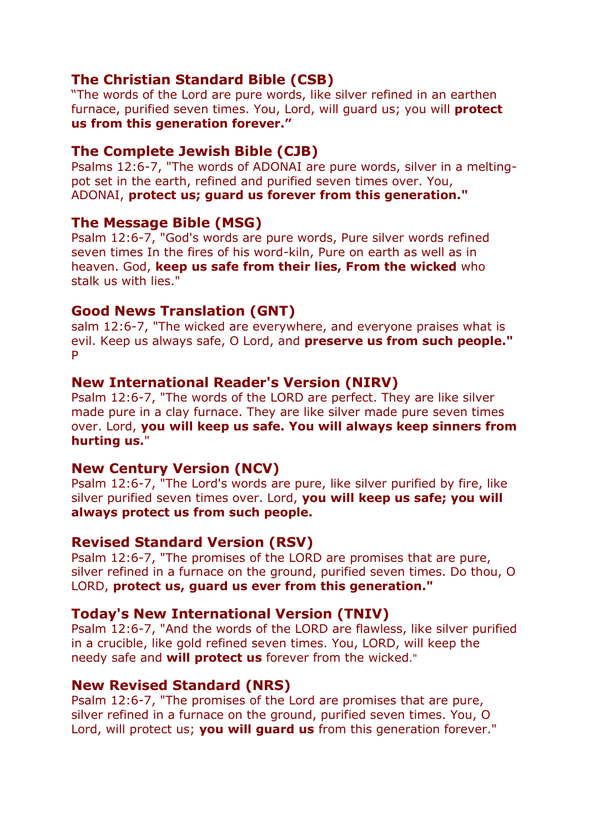#### **The Christian Standard Bible (CSB)**

"The words of the Lord are pure words, like silver refined in an earthen furnace, purified seven times. You, Lord, will guard us; you will **protect us from this generation forever."**

#### **The Complete Jewish Bible (CJB)**

Psalms 12:6-7, "The words of ADONAI are pure words, silver in a meltingpot set in the earth, refined and purified seven times over. You, ADONAI, **protect us; guard us forever from this generation."**

#### **The Message Bible (MSG)**

Psalm 12:6-7, "God's words are pure words, Pure silver words refined seven times In the fires of his word-kiln, Pure on earth as well as in heaven. God, **keep us safe from their lies, From the wicked** who stalk us with lies."

#### **Good News Translation (GNT)**

salm 12:6-7, "The wicked are everywhere, and everyone praises what is evil. Keep us always safe, O Lord, and **preserve us from such people."** P

#### **New International Reader's Version (NIRV)**

Psalm 12:6-7, "The words of the LORD are perfect. They are like silver made pure in a clay furnace. They are like silver made pure seven times over. Lord, **you will keep us safe. You will always keep sinners from hurting us.**"

#### **New Century Version (NCV)**

Psalm 12:6-7, "The Lord's words are pure, like silver purified by fire, like silver purified seven times over. Lord, **you will keep us safe; you will always protect us from such people.**

#### **Revised Standard Version (RSV)**

Psalm 12:6-7, "The promises of the LORD are promises that are pure, silver refined in a furnace on the ground, purified seven times. Do thou, O LORD, **protect us, guard us ever from this generation."**

#### **Today's New International Version (TNIV)**

Psalm 12:6-7, "And the words of the LORD are flawless, like silver purified in a crucible, like gold refined seven times. You, LORD, will keep the needy safe and **will protect us** forever from the wicked."

#### **New Revised Standard (NRS)**

Psalm 12:6-7, "The promises of the Lord are promises that are pure, silver refined in a furnace on the ground, purified seven times. You, O Lord, will protect us; **you will guard us** from this generation forever."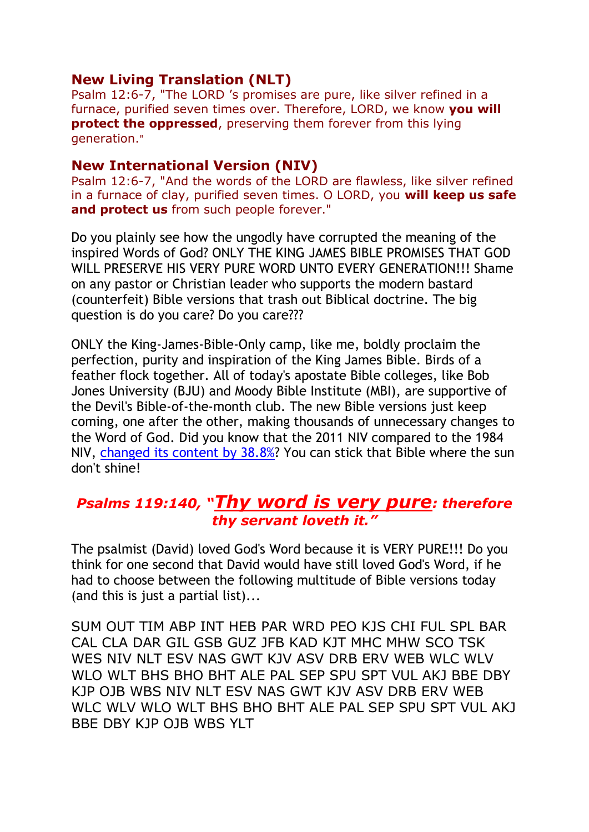#### **New Living Translation (NLT)**

Psalm 12:6-7, "The LORD 's promises are pure, like silver refined in a furnace, purified seven times over. Therefore, LORD, we know **you will protect the oppressed**, preserving them forever from this lying generation."

#### **New International Version (NIV)**

Psalm 12:6-7, "And the words of the LORD are flawless, like silver refined in a furnace of clay, purified seven times. O LORD, you **will keep us safe and protect us** from such people forever."

Do you plainly see how the ungodly have corrupted the meaning of the inspired Words of God? ONLY THE KING JAMES BIBLE PROMISES THAT GOD WILL PRESERVE HIS VERY PURE WORD UNTO EVERY GENERATION!!! Shame on any pastor or Christian leader who supports the modern bastard (counterfeit) Bible versions that trash out Biblical doctrine. The big question is do you care? Do you care???

ONLY the King-James-Bible-Only camp, like me, boldly proclaim the perfection, purity and inspiration of the King James Bible. Birds of a feather flock together. All of today's apostate Bible colleges, like Bob Jones University (BJU) and Moody Bible Institute (MBI), are supportive of the Devil's Bible-of-the-month club. The new Bible versions just keep coming, one after the other, making thousands of unnecessary changes to the Word of God. Did you know that the 2011 NIV compared to the 1984 NIV, [changed its content by 38.8%?](http://www.jesusisprecious.org/bible/niv/it_keeps_changing.htm) You can stick that Bible where the sun don't shine!

#### *Psalms 119:140, "Thy word is very pure: therefore thy servant loveth it."*

The psalmist (David) loved God's Word because it is VERY PURE!!! Do you think for one second that David would have still loved God's Word, if he had to choose between the following multitude of Bible versions today (and this is just a partial list)...

SUM OUT TIM ABP INT HEB PAR WRD PEO KJS CHI FUL SPL BAR CAL CLA DAR GIL GSB GUZ JFB KAD KJT MHC MHW SCO TSK WES NIV NLT ESV NAS GWT KJV ASV DRB ERV WEB WLC WLV WLO WLT BHS BHO BHT ALE PAL SEP SPU SPT VUL AKJ BBE DBY KJP OJB WBS NIV NLT ESV NAS GWT KJV ASV DRB ERV WEB WLC WLV WLO WLT BHS BHO BHT ALE PAL SEP SPU SPT VUL AKJ BBE DBY KJP OJB WBS YLT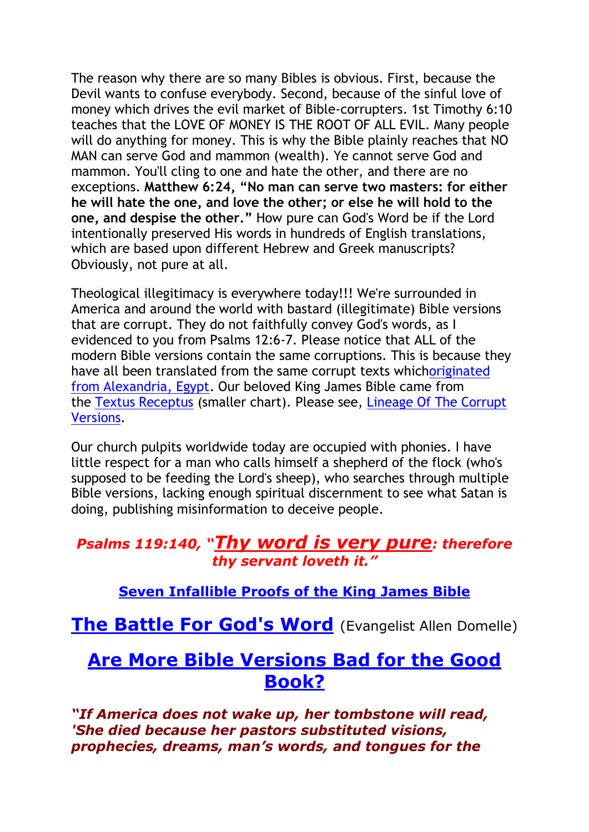The reason why there are so many Bibles is obvious. First, because the Devil wants to confuse everybody. Second, because of the sinful love of money which drives the evil market of Bible-corrupters. 1st Timothy 6:10 teaches that the LOVE OF MONEY IS THE ROOT OF ALL EVIL. Many people will do anything for money. This is why the Bible plainly reaches that NO MAN can serve God and mammon (wealth). Ye cannot serve God and mammon. You'll cling to one and hate the other, and there are no exceptions. **Matthew 6:24, "No man can serve two masters: for either he will hate the one, and love the other; or else he will hold to the one, and despise the other."** How pure can God's Word be if the Lord intentionally preserved His words in hundreds of English translations, which are based upon different Hebrew and Greek manuscripts? Obviously, not pure at all.

Theological illegitimacy is everywhere today!!! We're surrounded in America and around the world with bastard (illegitimate) Bible versions that are corrupt. They do not faithfully convey God's words, as I evidenced to you from Psalms 12:6-7. Please notice that ALL of the modern Bible versions contain the same corruptions. This is because they have all been translated from the same corrupt texts whic[horiginated](http://www.lovethetruth.com/bible/them_that_sin-bible_corrupters.htm)  [from Alexandria, Egypt.](http://www.lovethetruth.com/bible/them_that_sin-bible_corrupters.htm) Our beloved King James Bible came from the [Textus Receptus](https://www.soulwinning.info/bible/kjv_chart-large.gif) (smaller chart). Please see, [Lineage Of The Corrupt](http://www.jesusisprecious.org/bible/translation_origins.htm)  [Versions.](http://www.jesusisprecious.org/bible/translation_origins.htm)

Our church pulpits worldwide today are occupied with phonies. I have little respect for a man who calls himself a shepherd of the flock (who's supposed to be feeding the Lord's sheep), who searches through multiple Bible versions, lacking enough spiritual discernment to see what Satan is doing, publishing misinformation to deceive people.

#### *Psalms 119:140, "Thy word is very pure: therefore thy servant loveth it."*

#### **[Seven Infallible Proofs of the King James Bible](https://www.soulwinning.info/bible/SevenInfallibleProof-KingJamesBible.pdf)**

**[The Battle For](https://www.soulwinning.info/bible/TheBattleforGodsWord.pdf) God's Word** (Evangelist Allen Domelle)

### **[Are More Bible Versions Bad for the Good](https://www.christiancentury.org/article/2010-10/how-many-versions-bible-do-we-really-need)  [Book?](https://www.christiancentury.org/article/2010-10/how-many-versions-bible-do-we-really-need)**

*"If America does not wake up, her tombstone will read, 'She died because her pastors substituted visions, prophecies, dreams, man's words, and tongues for the*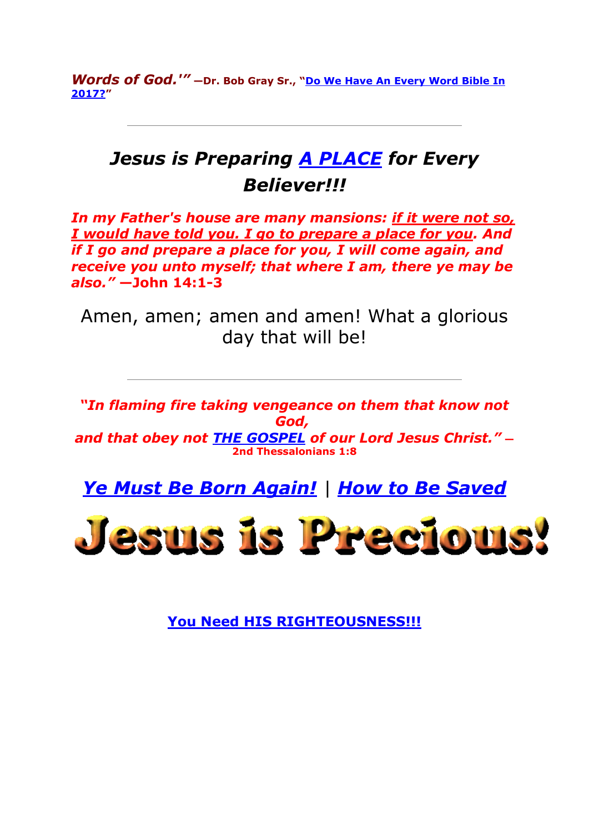*Words of God.'"* **—Dr. Bob Gray Sr., "[Do We Have An Every Word Bible In](http://www.bobgraysr.com/2017/06/do-you-have-every-word-bible.html)  [2017?](http://www.bobgraysr.com/2017/06/do-you-have-every-word-bible.html)"**

## *Jesus is Preparing [A PLACE](https://www.soulwinning.info/bd/a_place.htm) for Every Believer!!!*

*In my Father's house are many mansions: if it were not so, I would have told you. I go to prepare a place for you. And if I go and prepare a place for you, I will come again, and receive you unto myself; that where I am, there ye may be also."* **—John 14:1-3**

Amen, amen; amen and amen! What a glorious day that will be!

*"In flaming fire taking vengeance on them that know not God, and that obey not [THE GOSPEL](http://www.jesusisprecious.org/fundamentals/gospel.htm) of our Lord Jesus Christ."* **— 2nd Thessalonians 1:8**

*[Ye Must Be Born Again!](https://www.soulwinning.info/articles/born_again.htm) | [How to Be Saved](https://www.soulwinning.info/tracts/how_to_be_saved.htm)*

Jesus is Precious!

**[You Need HIS RIGHTEOUSNESS!!!](https://www.soulwinning.info/articles/true_righteousness.htm)**